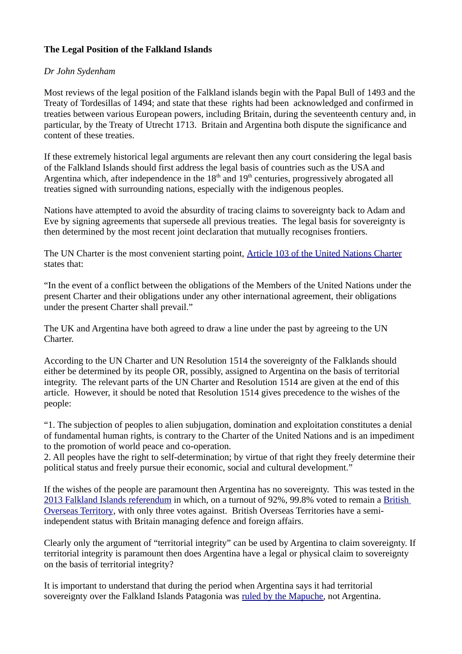### **The Legal Position of the Falkland Islands**

### *Dr John Sydenham*

Most reviews of the legal position of the Falkland islands begin with the Papal Bull of 1493 and the Treaty of Tordesillas of 1494; and state that these rights had been acknowledged and confirmed in treaties between various European powers, including Britain, during the seventeenth century and, in particular, by the Treaty of Utrecht 1713. Britain and Argentina both dispute the significance and content of these treaties.

If these extremely historical legal arguments are relevant then any court considering the legal basis of the Falkland Islands should first address the legal basis of countries such as the USA and Argentina which, after independence in the  $18<sup>th</sup>$  and  $19<sup>th</sup>$  centuries, progressively abrogated all treaties signed with surrounding nations, especially with the indigenous peoples.

Nations have attempted to avoid the absurdity of tracing claims to sovereignty back to Adam and Eve by signing agreements that supersede all previous treaties. The legal basis for sovereignty is then determined by the most recent joint declaration that mutually recognises frontiers.

The UN Charter is the most convenient starting point, [Article 103 of the United Nations Charter](https://legal.un.org/repertory/art103.shtml) states that:

"In the event of a conflict between the obligations of the Members of the United Nations under the present Charter and their obligations under any other international agreement, their obligations under the present Charter shall prevail."

The UK and Argentina have both agreed to draw a line under the past by agreeing to the UN Charter.

According to the UN Charter and UN Resolution 1514 the sovereignty of the Falklands should either be determined by its people OR, possibly, assigned to Argentina on the basis of territorial integrity. The relevant parts of the UN Charter and Resolution 1514 are given at the end of this article. However, it should be noted that Resolution 1514 gives precedence to the wishes of the people:

"1. The subjection of peoples to alien subjugation, domination and exploitation constitutes a denial of fundamental human rights, is contrary to the Charter of the United Nations and is an impediment to the promotion of world peace and co-operation.

2. All peoples have the right to self-determination; by virtue of that right they freely determine their political status and freely pursue their economic, social and cultural development."

If the wishes of the people are paramount then Argentina has no sovereignty. This was tested in the [2013 Falkland Islands referendum](https://en.wikipedia.org/wiki/2013_Falkland_Islands_sovereignty_referendum) in which, on a turnout of 92%, 99.8% voted to remain a [British](https://en.wikipedia.org/wiki/British_Overseas_Territories)  [Overseas Territory](https://en.wikipedia.org/wiki/British_Overseas_Territories), with only three votes against. British Overseas Territories have a semiindependent status with Britain managing defence and foreign affairs.

Clearly only the argument of "territorial integrity" can be used by Argentina to claim sovereignty. If territorial integrity is paramount then does Argentina have a legal or physical claim to sovereignty on the basis of territorial integrity?

It is important to understand that during the period when Argentina says it had territorial sovereignty over the Falkland Islands Patagonia was [ruled by the Mapuche,](https://en.wikipedia.org/wiki/Mapuche) not Argentina.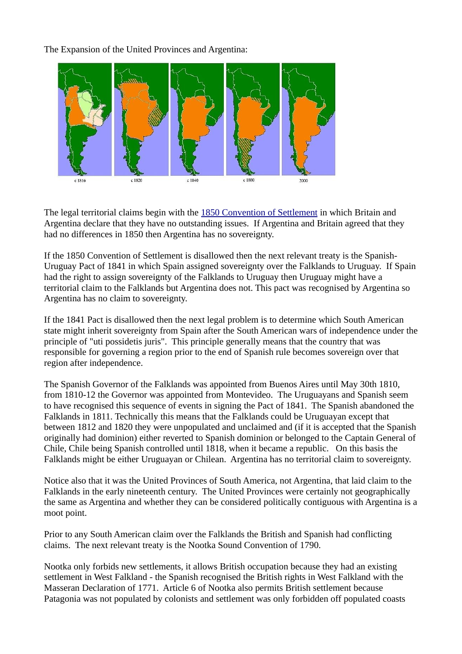The Expansion of the United Provinces and Argentina:



The legal territorial claims begin with the [1850 Convention of Settlement](https://en.wikisource.org/wiki/1850_Convention_of_Settlement) in which Britain and Argentina declare that they have no outstanding issues. If Argentina and Britain agreed that they had no differences in 1850 then Argentina has no sovereignty.

If the 1850 Convention of Settlement is disallowed then the next relevant treaty is the Spanish-Uruguay Pact of 1841 in which Spain assigned sovereignty over the Falklands to Uruguay. If Spain had the right to assign sovereignty of the Falklands to Uruguay then Uruguay might have a territorial claim to the Falklands but Argentina does not. This pact was recognised by Argentina so Argentina has no claim to sovereignty.

If the 1841 Pact is disallowed then the next legal problem is to determine which South American state might inherit sovereignty from Spain after the South American wars of independence under the principle of "uti possidetis juris". This principle generally means that the country that was responsible for governing a region prior to the end of Spanish rule becomes sovereign over that region after independence.

The Spanish Governor of the Falklands was appointed from Buenos Aires until May 30th 1810, from 1810-12 the Governor was appointed from Montevideo. The Uruguayans and Spanish seem to have recognised this sequence of events in signing the Pact of 1841. The Spanish abandoned the Falklands in 1811. Technically this means that the Falklands could be Uruguayan except that between 1812 and 1820 they were unpopulated and unclaimed and (if it is accepted that the Spanish originally had dominion) either reverted to Spanish dominion or belonged to the Captain General of Chile, Chile being Spanish controlled until 1818, when it became a republic. On this basis the Falklands might be either Uruguayan or Chilean. Argentina has no territorial claim to sovereignty.

Notice also that it was the United Provinces of South America, not Argentina, that laid claim to the Falklands in the early nineteenth century. The United Provinces were certainly not geographically the same as Argentina and whether they can be considered politically contiguous with Argentina is a moot point.

Prior to any South American claim over the Falklands the British and Spanish had conflicting claims. The next relevant treaty is the Nootka Sound Convention of 1790.

Nootka only forbids new settlements, it allows British occupation because they had an existing settlement in West Falkland - the Spanish recognised the British rights in West Falkland with the Masseran Declaration of 1771. Article 6 of Nootka also permits British settlement because Patagonia was not populated by colonists and settlement was only forbidden off populated coasts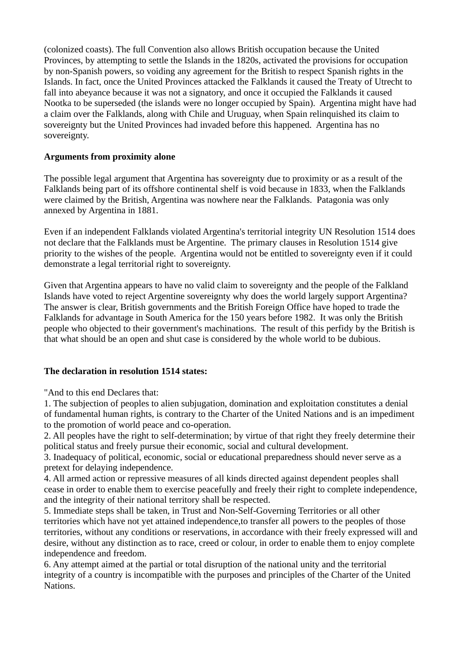(colonized coasts). The full Convention also allows British occupation because the United Provinces, by attempting to settle the Islands in the 1820s, activated the provisions for occupation by non-Spanish powers, so voiding any agreement for the British to respect Spanish rights in the Islands. In fact, once the United Provinces attacked the Falklands it caused the Treaty of Utrecht to fall into abeyance because it was not a signatory, and once it occupied the Falklands it caused Nootka to be superseded (the islands were no longer occupied by Spain). Argentina might have had a claim over the Falklands, along with Chile and Uruguay, when Spain relinquished its claim to sovereignty but the United Provinces had invaded before this happened. Argentina has no sovereignty.

# **Arguments from proximity alone**

The possible legal argument that Argentina has sovereignty due to proximity or as a result of the Falklands being part of its offshore continental shelf is void because in 1833, when the Falklands were claimed by the British, Argentina was nowhere near the Falklands. Patagonia was only annexed by Argentina in 1881.

Even if an independent Falklands violated Argentina's territorial integrity UN Resolution 1514 does not declare that the Falklands must be Argentine. The primary clauses in Resolution 1514 give priority to the wishes of the people. Argentina would not be entitled to sovereignty even if it could demonstrate a legal territorial right to sovereignty.

Given that Argentina appears to have no valid claim to sovereignty and the people of the Falkland Islands have voted to reject Argentine sovereignty why does the world largely support Argentina? The answer is clear, British governments and the British Foreign Office have hoped to trade the Falklands for advantage in South America for the 150 years before 1982. It was only the British people who objected to their government's machinations. The result of this perfidy by the British is that what should be an open and shut case is considered by the whole world to be dubious.

### **The declaration in resolution 1514 states:**

"And to this end Declares that:

1. The subjection of peoples to alien subjugation, domination and exploitation constitutes a denial of fundamental human rights, is contrary to the Charter of the United Nations and is an impediment to the promotion of world peace and co-operation.

2. All peoples have the right to self-determination; by virtue of that right they freely determine their political status and freely pursue their economic, social and cultural development.

3. Inadequacy of political, economic, social or educational preparedness should never serve as a pretext for delaying independence.

4. All armed action or repressive measures of all kinds directed against dependent peoples shall cease in order to enable them to exercise peacefully and freely their right to complete independence, and the integrity of their national territory shall be respected.

5. Immediate steps shall be taken, in Trust and Non-Self-Governing Territories or all other territories which have not yet attained independence,to transfer all powers to the peoples of those territories, without any conditions or reservations, in accordance with their freely expressed will and desire, without any distinction as to race, creed or colour, in order to enable them to enjoy complete independence and freedom.

6. Any attempt aimed at the partial or total disruption of the national unity and the territorial integrity of a country is incompatible with the purposes and principles of the Charter of the United Nations.